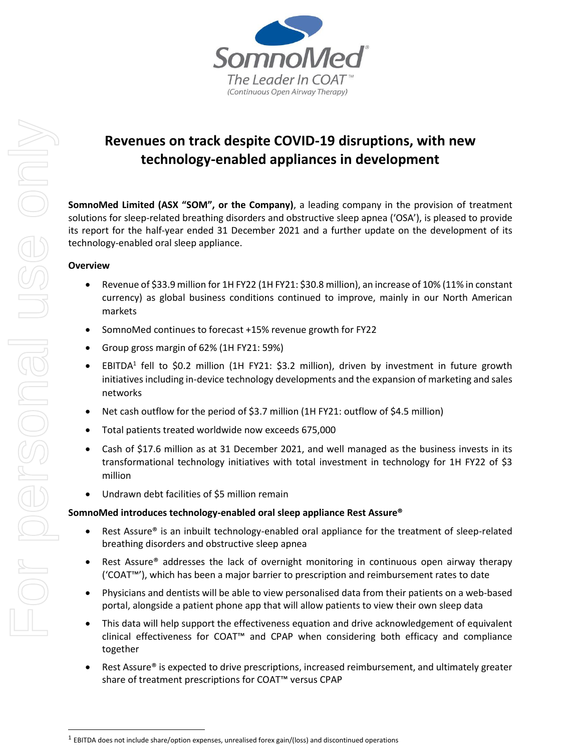

# **Revenues on track despite COVID-19 disruptions, with new technology-enabled appliances in development**

**SomnoMed Limited (ASX "SOM", or the Company)**, a leading company in the provision of treatment solutions for sleep-related breathing disorders and obstructive sleep apnea ('OSA'), is pleased to provide its report for the half-year ended 31 December 2021 and a further update on the development of its technology-enabled oral sleep appliance.

# **Overview**

- Revenue of \$33.9 million for 1H FY22 (1H FY21: \$30.8 million), an increase of 10% (11% in constant currency) as global business conditions continued to improve, mainly in our North American markets
- SomnoMed continues to forecast +15% revenue growth for FY22
- Group gross margin of 62% (1H FY21: 59%)
- EBITDA<sup>1</sup> fell to \$0.2 million (1H FY21: \$3.2 million), driven by investment in future growth initiatives including in-device technology developments and the expansion of marketing and sales networks
- Net cash outflow for the period of \$3.7 million (1H FY21: outflow of \$4.5 million)
- Total patients treated worldwide now exceeds 675,000
- Cash of \$17.6 million as at 31 December 2021, and well managed as the business invests in its transformational technology initiatives with total investment in technology for 1H FY22 of \$3 million
- Undrawn debt facilities of \$5 million remain

# **SomnoMed introduces technology-enabled oral sleep appliance Rest Assure®**

- Rest Assure® is an inbuilt technology-enabled oral appliance for the treatment of sleep-related breathing disorders and obstructive sleep apnea
- Rest Assure® addresses the lack of overnight monitoring in continuous open airway therapy ('COAT™'), which has been a major barrier to prescription and reimbursement rates to date
- Physicians and dentists will be able to view personalised data from their patients on a web-based portal, alongside a patient phone app that will allow patients to view their own sleep data
- This data will help support the effectiveness equation and drive acknowledgement of equivalent clinical effectiveness for COAT™ and CPAP when considering both efficacy and compliance together
- Rest Assure® is expected to drive prescriptions, increased reimbursement, and ultimately greater share of treatment prescriptions for COAT™ versus CPAP

 $^1$  EBITDA does not include share/option expenses, unrealised forex gain/(loss) and discontinued operations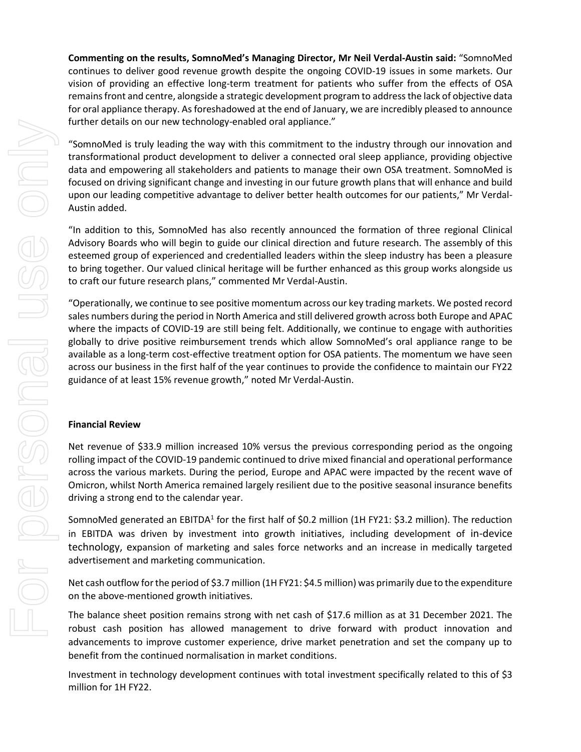**Commenting on the results, SomnoMed's Managing Director, Mr Neil Verdal-Austin said:** "SomnoMed continues to deliver good revenue growth despite the ongoing COVID-19 issues in some markets. Our vision of providing an effective long-term treatment for patients who suffer from the effects of OSA remains front and centre, alongside a strategic development program to address the lack of objective data for oral appliance therapy. As foreshadowed at the end of January, we are incredibly pleased to announce further details on our new technology-enabled oral appliance."

"SomnoMed is truly leading the way with this commitment to the industry through our innovation and transformational product development to deliver a connected oral sleep appliance, providing objective data and empowering all stakeholders and patients to manage their own OSA treatment. SomnoMed is focused on driving significant change and investing in our future growth plans that will enhance and build upon our leading competitive advantage to deliver better health outcomes for our patients," Mr Verdal-Austin added.

"In addition to this, SomnoMed has also recently announced the formation of three regional Clinical Advisory Boards who will begin to guide our clinical direction and future research. The assembly of this esteemed group of experienced and credentialled leaders within the sleep industry has been a pleasure to bring together. Our valued clinical heritage will be further enhanced as this group works alongside us to craft our future research plans," commented Mr Verdal-Austin.

"Operationally, we continue to see positive momentum across our key trading markets. We posted record sales numbers during the period in North America and still delivered growth across both Europe and APAC where the impacts of COVID-19 are still being felt. Additionally, we continue to engage with authorities globally to drive positive reimbursement trends which allow SomnoMed's oral appliance range to be available as a long-term cost-effective treatment option for OSA patients. The momentum we have seen across our business in the first half of the year continues to provide the confidence to maintain our FY22 guidance of at least 15% revenue growth," noted Mr Verdal-Austin.

#### **Financial Review**

Net revenue of \$33.9 million increased 10% versus the previous corresponding period as the ongoing rolling impact of the COVID-19 pandemic continued to drive mixed financial and operational performance across the various markets. During the period, Europe and APAC were impacted by the recent wave of Omicron, whilst North America remained largely resilient due to the positive seasonal insurance benefits driving a strong end to the calendar year.

SomnoMed generated an EBITDA<sup>1</sup> for the first half of \$0.2 million (1H FY21: \$3.2 million). The reduction in EBITDA was driven by investment into growth initiatives, including development of in-device technology, expansion of marketing and sales force networks and an increase in medically targeted advertisement and marketing communication.

Net cash outflow for the period of \$3.7 million (1H FY21: \$4.5 million) was primarily due to the expenditure on the above-mentioned growth initiatives.

The balance sheet position remains strong with net cash of \$17.6 million as at 31 December 2021. The robust cash position has allowed management to drive forward with product innovation and advancements to improve customer experience, drive market penetration and set the company up to benefit from the continued normalisation in market conditions.

Investment in technology development continues with total investment specifically related to this of \$3 million for 1H FY22.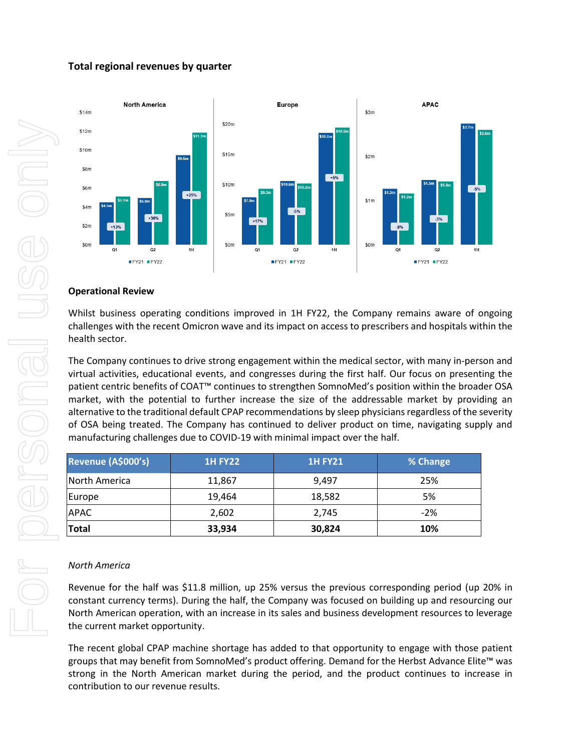# **Total regional revenues by quarter**



#### **Operational Review**

Whilst business operating conditions improved in 1H FY22, the Company remains aware of ongoing challenges with the recent Omicron wave and its impact on access to prescribers and hospitals within the health sector.

The Company continues to drive strong engagement within the medical sector, with many in-person and virtual activities, educational events, and congresses during the first half. Our focus on presenting the patient centric benefits of COAT™ continues to strengthen SomnoMed's position within the broader OSA market, with the potential to further increase the size of the addressable market by providing an alternative to the traditional default CPAP recommendations by sleep physicians regardless of the severity of OSA being treated. The Company has continued to deliver product on time, navigating supply and manufacturing challenges due to COVID-19 with minimal impact over the half.

| Revenue (A\$000's) | <b>1H FY22</b> | <b>1H FY21</b> | % Change |
|--------------------|----------------|----------------|----------|
| North America      | 11,867         | 9,497          | 25%      |
| Europe             | 19,464         | 18,582         | 5%       |
| <b>APAC</b>        | 2,602          | 2,745          | $-2%$    |
| Total              | 33,934         | 30,824         | 10%      |

#### *North America*

Revenue for the half was \$11.8 million, up 25% versus the previous corresponding period (up 20% in constant currency terms). During the half, the Company was focused on building up and resourcing our North American operation, with an increase in its sales and business development resources to leverage the current market opportunity.

The recent global CPAP machine shortage has added to that opportunity to engage with those patient groups that may benefit from SomnoMed's product offering. Demand for the Herbst Advance Elite™ was strong in the North American market during the period, and the product continues to increase in contribution to our revenue results.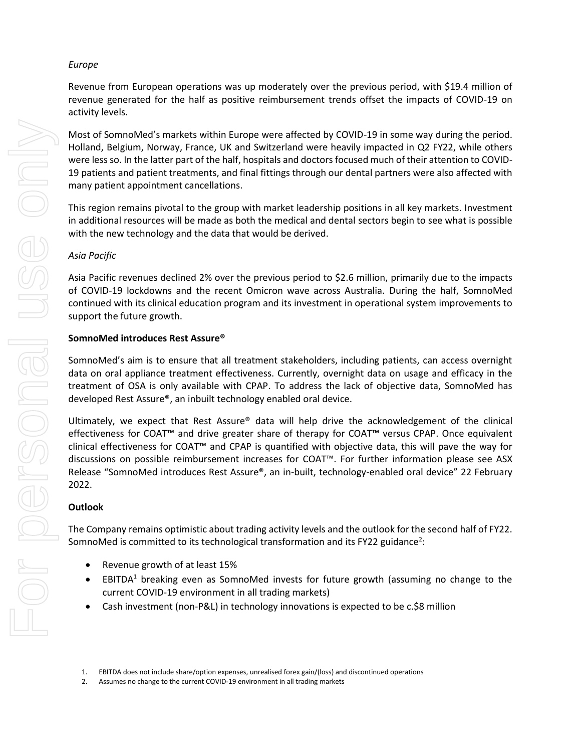### *Europe*

Revenue from European operations was up moderately over the previous period, with \$19.4 million of revenue generated for the half as positive reimbursement trends offset the impacts of COVID-19 on activity levels.

Most of SomnoMed's markets within Europe were affected by COVID-19 in some way during the period. Holland, Belgium, Norway, France, UK and Switzerland were heavily impacted in Q2 FY22, while others were less so. In the latter part of the half, hospitals and doctors focused much of their attention to COVID-19 patients and patient treatments, and final fittings through our dental partners were also affected with many patient appointment cancellations.

This region remains pivotal to the group with market leadership positions in all key markets. Investment in additional resources will be made as both the medical and dental sectors begin to see what is possible with the new technology and the data that would be derived.

# *Asia Pacific*

Asia Pacific revenues declined 2% over the previous period to \$2.6 million, primarily due to the impacts of COVID-19 lockdowns and the recent Omicron wave across Australia. During the half, SomnoMed continued with its clinical education program and its investment in operational system improvements to support the future growth.

### **SomnoMed introduces Rest Assure®**

SomnoMed's aim is to ensure that all treatment stakeholders, including patients, can access overnight data on oral appliance treatment effectiveness. Currently, overnight data on usage and efficacy in the treatment of OSA is only available with CPAP. To address the lack of objective data, SomnoMed has developed Rest Assure®, an inbuilt technology enabled oral device.

Ultimately, we expect that Rest Assure® data will help drive the acknowledgement of the clinical effectiveness for COAT™ and drive greater share of therapy for COAT™ versus CPAP. Once equivalent clinical effectiveness for COAT™ and CPAP is quantified with objective data, this will pave the way for discussions on possible reimbursement increases for COAT™. For further information please see ASX Release "SomnoMed introduces Rest Assure®, an in-built, technology-enabled oral device" 22 February 2022.

### **Outlook**

The Company remains optimistic about trading activity levels and the outlook for the second half of FY22. SomnoMed is committed to its technological transformation and its FY22 guidance<sup>2</sup>:

- Revenue growth of at least 15%
- EBITDA<sup>1</sup> breaking even as SomnoMed invests for future growth (assuming no change to the current COVID-19 environment in all trading markets)
- Cash investment (non-P&L) in technology innovations is expected to be c.\$8 million

<sup>1.</sup> EBITDA does not include share/option expenses, unrealised forex gain/(loss) and discontinued operations

<sup>2.</sup> Assumes no change to the current COVID-19 environment in all trading markets